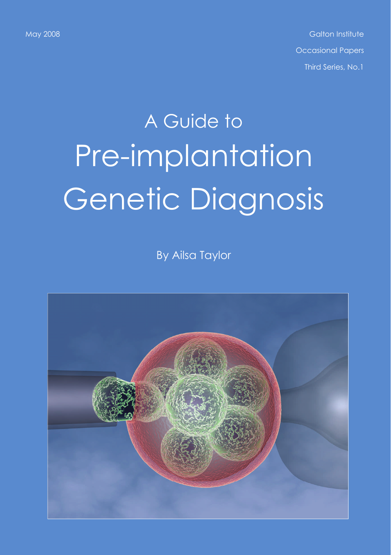May 2008 Galton Institute Control of Control of Control of Control of Control of Control of Control of Control o Occasional Papers Third Series, No.1

# A Guide to Pre-implantation Genetic Diagnosis

By Ailsa Taylor

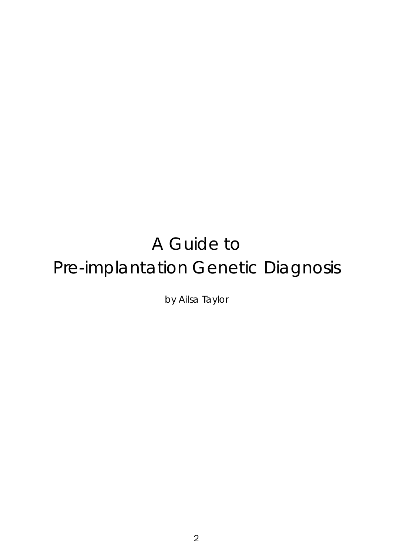# A Guide to Pre-implantation Genetic Diagnosis

by Ailsa Taylor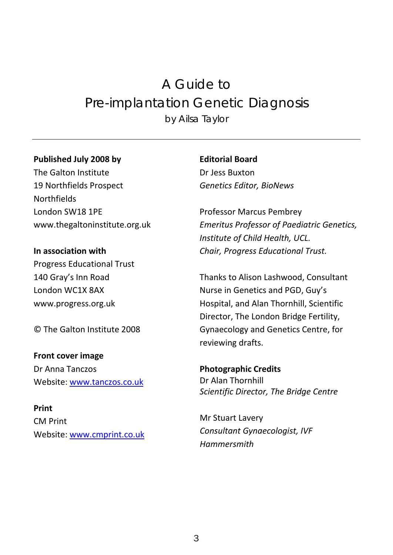# A Guide to Pre-implantation Genetic Diagnosis by Ailsa Taylor

#### **Published July 2008 by**

The Galton Institute 19 Northfields Prospect NorthfieldsLondon SW18 1PE www.thegaltoninstitute.org.uk

**In association with** Progress Educational Trust 140 Gray's Inn Road London WC1X 8AX [www.progress.org.uk](http://www.progress.org.uk/)

© The Galton Institute 2008

**Front cover image** Dr Anna Tanczos Website: [www.tanczos.co.uk](http://www.tanczos.co.uk/)

**Print**CM Print Website: <u>[www.cmprint.co.uk](http://www.cmprint.co.uk/)</u> **Editorial Board**Dr Jess Buxton*Genetics Editor, BioNews*

Professor Marcus Pembrey *Emeritus Professor of Paediatric Genetics, Institute of Child Health, UCL. Chair, Progress Educational Trust.*

Thanks to Alison Lashwood, Consultant Nurse in Genetics and PGD, Guy's Hospital, and Alan Thornhill, Scientific Director, The London Bridge Fertility, Gynaecology and Genetics Centre, for reviewing drafts.

**Photographic Credits** Dr Alan Thornhill *Scientific Director, The Bridge Centre*

Mr Stuart Lavery *Consultant Gynaecologist, IVF Hammersmith*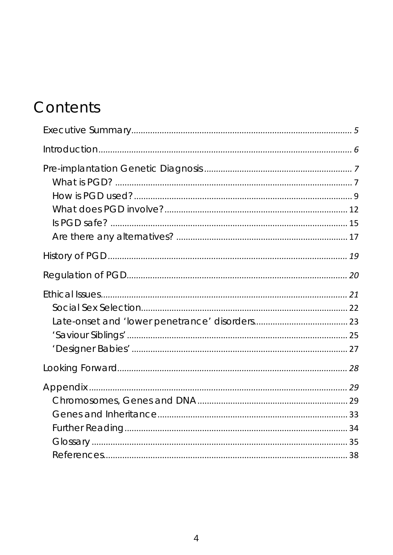# Contents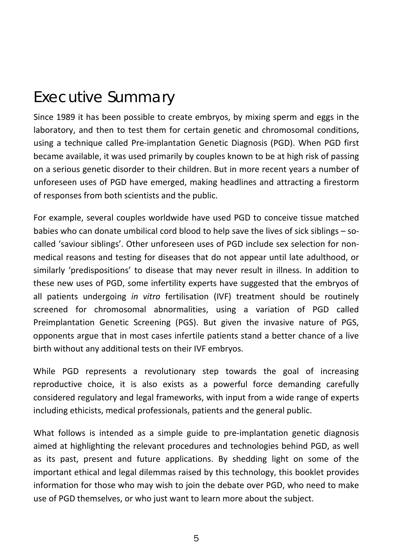# <span id="page-5-0"></span>Executive Summary

Since 1989 it has been possible to create embryos, by mixing sperm and eggs in the laboratory, and then to test them for certain genetic and chromosomal conditions, using <sup>a</sup> technique called Pre‐implantation Genetic Diagnosis (PGD). When PGD first became available, it was used primarily by couples known to be at high risk of passing on <sup>a</sup> serious genetic disorder to their children. But in more recent years <sup>a</sup> number of unforeseen uses of PGD have emerged, making headlines and attracting <sup>a</sup> firestorm of responses from both scientists and the public.

For example, several couples worldwide have used PGD to conceive tissue matched babies who can donate umbilical cord blood to help save the lives of sick siblings – so‐ called 'saviour siblings'. Other unforeseen uses of PGD include sex selection for non‐ medical reasons and testing for diseases that do not appear until late adulthood, or similarly 'predispositions' to disease that may never result in illness. In addition to these new uses of PGD, some infertility experts have suggested that the embryos of all patients undergoing *in vitro* fertilisation (IVF) treatment should be routinely screened for chromosomal abnormalities, using <sup>a</sup> variation of PGD called Preimplantation Genetic Screening (PGS). But given the invasive nature of PGS, opponents argue that in most cases infertile patients stand <sup>a</sup> better chance of <sup>a</sup> live birth without any additional tests on their IVF embryos.

While PGD represents <sup>a</sup> revolutionary step towards the goal of increasing reproductive choice, it is also exists as <sup>a</sup> powerful force demanding carefully considered regulatory and legal frameworks, with input from <sup>a</sup> wide range of experts including ethicists, medical professionals, patients and the general public.

What follows is intended as <sup>a</sup> simple guide to pre‐implantation genetic diagnosis aimed at highlighting the relevant procedures and technologies behind PGD, as well as its past, present and future applications. By shedding light on some of the important ethical and legal dilemmas raised by this technology, this booklet provides information for those who may wish to join the debate over PGD, who need to make use of PGD themselves, or who just want to learn more about the subject.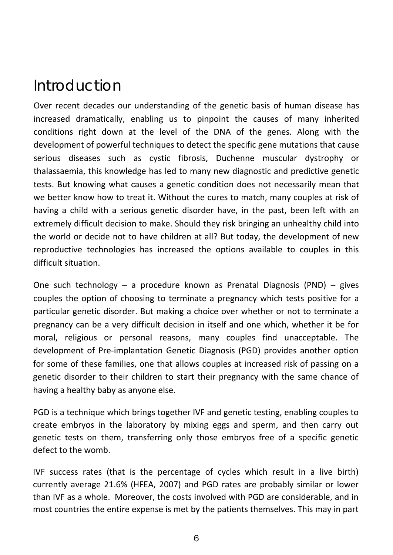# <span id="page-6-0"></span>Introduction

Over recent decades our understanding of the genetic basis of human disease has increased dramatically, enabling us to pinpoint the causes of many inherited conditions right down at the level of the DNA of the genes. Along with the development of powerful techniques to detect the specific gene mutations that cause serious diseases such as cystic fibrosis, Duchenne muscular dystrophy or thalassaemia, this knowledge has led to many new diagnostic and predictive genetic tests. But knowing what causes <sup>a</sup> genetic condition does not necessarily mean that we better know how to treat it. Without the cures to match, many couples at risk of having <sup>a</sup> child with <sup>a</sup> serious genetic disorder have, in the past, been left with an extremely difficult decision to make. Should they risk bringing an unhealthy child into the world or decide not to have children at all? But today, the development of new reproductive technologies has increased the options available to couples in this difficult situation.

One such technology – <sup>a</sup> procedure known as Prenatal Diagnosis (PND) – gives couples the option of choosing to terminate <sup>a</sup> pregnancy which tests positive for <sup>a</sup> particular genetic disorder. But making <sup>a</sup> choice over whether or not to terminate <sup>a</sup> pregnancy can be <sup>a</sup> very difficult decision in itself and one which, whether it be for moral, religious or personal reasons, many couples find unacceptable. The development of Pre‐implantation Genetic Diagnosis (PGD) provides another option for some of these families, one that allows couples at increased risk of passing on <sup>a</sup> genetic disorder to their children to start their pregnancy with the same chance of having <sup>a</sup> healthy baby as anyone else.

PGD is <sup>a</sup> technique which brings together IVF and genetic testing, enabling couples to create embryos in the laboratory by mixing eggs and sperm, and then carry out genetic tests on them, transferring only those embryos free of <sup>a</sup> specific genetic defect to the womb.

IVF success rates (that is the percentage of cycles which result in <sup>a</sup> live birth) currently average 21.6% (HFEA, 2007) and PGD rates are probably similar or lower than IVF as <sup>a</sup> whole. Moreover, the costs involved with PGD are considerable, and in most countries the entire expense is met by the patients themselves. This may in part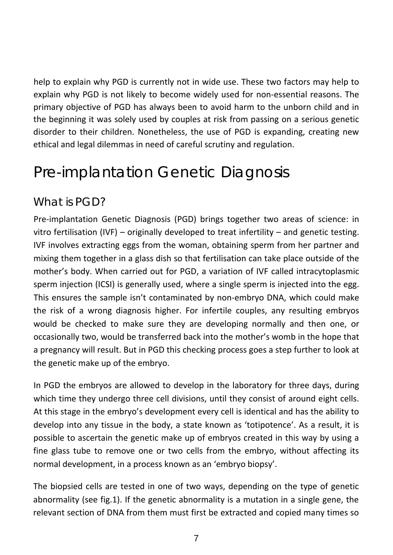<span id="page-7-0"></span>help to explain why PGD is currently not in wide use. These two factors may help to explain why PGD is not likely to become widely used for non‐essential reasons. The primary objective of PGD has always been to avoid harm to the unborn child and in the beginning it was solely used by couples at risk from passing on <sup>a</sup> serious genetic disorder to their children. Nonetheless, the use of PGD is expanding, creating new ethical and legal dilemmas in need of careful scrutiny and regulation.

# Pre-implantation Genetic Diagnosis

## *What is PGD?*

Pre‐implantation Genetic Diagnosis (PGD) brings together two areas of science: in vitro fertilisation (IVF) – originally developed to treat infertility – and genetic testing. IVF involves extracting eggs from the woman, obtaining sperm from her partner and mixing them together in <sup>a</sup> glass dish so that fertilisation can take place outside of the mother's body. When carried out for PGD, <sup>a</sup> variation of IVF called intracytoplasmic sperm injection (ICSI) is generally used, where <sup>a</sup> single sperm is injected into the egg. This ensures the sample isn't contaminated by non‐embryo DNA, which could make the risk of <sup>a</sup> wrong diagnosis higher. For infertile couples, any resulting embryos would be checked to make sure they are developing normally and then one, or occasionally two, would be transferred back into the mother's womb in the hope that a pregnancy will result. But in PGD this checking process goes <sup>a</sup> step further to look at the genetic make up of the embryo.

In PGD the embryos are allowed to develop in the laboratory for three days, during which time they undergo three cell divisions, until they consist of around eight cells. At this stage in the embryo's development every cell is identical and has the ability to develop into any tissue in the body, <sup>a</sup> state known as 'totipotence'. As <sup>a</sup> result, it is possible to ascertain the genetic make up of embryos created in this way by using <sup>a</sup> fine glass tube to remove one or two cells from the embryo, without affecting its normal development, in <sup>a</sup> process known as an 'embryo biopsy'.

The biopsied cells are tested in one of two ways, depending on the type of genetic abnormality (see fig.1). If the genetic abnormality is <sup>a</sup> mutation in <sup>a</sup> single gene, the relevant section of DNA from them must first be extracted and copied many times so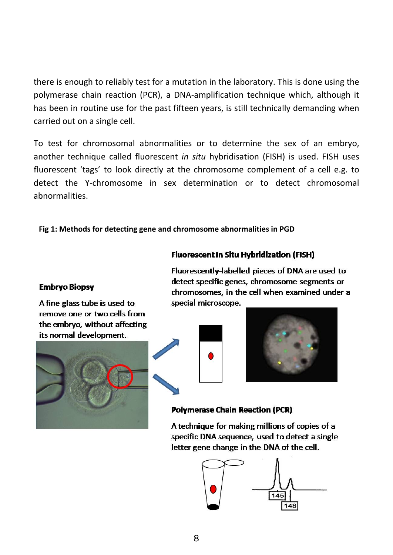there is enough to reliably test for <sup>a</sup> mutation in the laboratory. This is done using the polymerase chain reaction (PCR), <sup>a</sup> DNA‐amplification technique which, although it has been in routine use for the past fifteen years, is still technically demanding when carried out on <sup>a</sup> single cell.

To test for chromosomal abnormalities or to determine the sex of an embryo, another technique called fluorescent *in situ* hybridisation (FISH) is used. FISH uses fluorescent 'tags' to look directly at the chromosome complement of <sup>a</sup> cell e.g. to detect the Y‐chromosome in sex determination or to detect chromosomal abnormalities.

#### **Fig 1: Methods for detecting gene and chromosome abnormalities in PGD**

#### **Embryo Biopsy**

A fine glass tube is used to remove one or two cells from the embryo, without affecting its normal development.



Fluorescently-labelled pieces of DNA are used to detect specific genes, chromosome segments or chromosomes, in the cell when examined under a special microscope.

**Fluorescent In Situ Hybridization (FISH)** 





#### **Polymerase Chain Reaction (PCR)**

A technique for making millions of copies of a specific DNA sequence, used to detect a single letter gene change in the DNA of the cell.

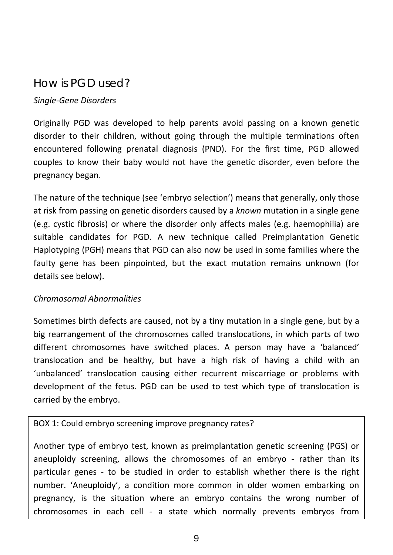# <span id="page-9-0"></span>*How is PGD used?*

#### *Single‐Gene Disorders*

Originally PGD was developed to help parents avoid passing on <sup>a</sup> known genetic disorder to their children, without going through the multiple terminations often encountered following prenatal diagnosis (PND). For the first time, PGD allowed couples to know their baby would not have the genetic disorder, even before the pregnancy began.

The nature of the technique (see 'embryo selection') means that generally, only those at risk from passing on genetic disorders caused by <sup>a</sup> *known* mutation in <sup>a</sup> single gene (e.g. cystic fibrosis) or where the disorder only affects males (e.g. haemophilia) are suitable candidates for PGD. A new technique called Preimplantation Genetic Haplotyping (PGH) means that PGD can also now be used in some families where the faulty gene has been pinpointed, but the exact mutation remains unknown (for details see below).

#### *Chromosomal Abnormalities*

Sometimes birth defects are caused, not by <sup>a</sup> tiny mutation in <sup>a</sup> single gene, but by <sup>a</sup> big rearrangement of the chromosomes called translocations, in which parts of two different chromosomes have switched places. A person may have <sup>a</sup> 'balanced' translocation and be healthy, but have <sup>a</sup> high risk of having <sup>a</sup> child with an 'unbalanced' translocation causing either recurrent miscarriage or problems with development of the fetus. PGD can be used to test which type of translocation is carried by the embryo.

#### BOX 1: Could embryo screening improve pregnancy rates?

Another type of embryo test, known as preimplantation genetic screening (PGS) or aneuploidy screening, allows the chromosomes of an embryo - rather than its particular genes ‐ to be studied in order to establish whether there is the right number. 'Aneuploidy', <sup>a</sup> condition more common in older women embarking on pregnancy, is the situation where an embryo contains the wrong number of chromosomes in each cell ‐ <sup>a</sup> state which normally prevents embryos from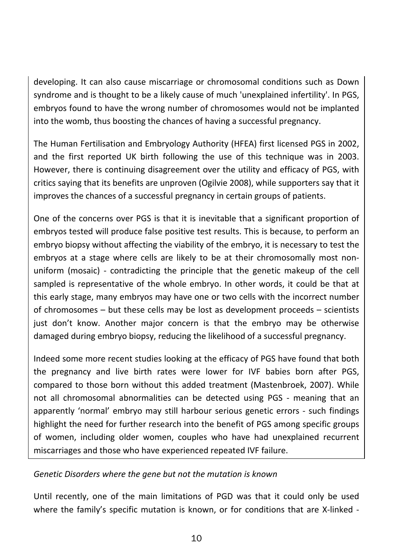developing. It can also cause miscarriage or chromosomal conditions such as Down syndrome and is thought to be <sup>a</sup> likely cause of much 'unexplained infertility'. In PGS, embryos found to have the wrong number of chromosomes would not be implanted into the womb, thus boosting the chances of having <sup>a</sup> successful pregnancy.

The Human Fertilisation and Embryology Authority (HFEA) first licensed PGS in 2002, and the first reported UK birth following the use of this technique was in 2003. However, there is continuing disagreement over the utility and efficacy of PGS, with critics saying that its benefits are unproven (Ogilvie 2008), while supporters say that it improves the chances of <sup>a</sup> successful pregnancy in certain groups of patients.

One of the concerns over PGS is that it is inevitable that <sup>a</sup> significant proportion of embryos tested will produce false positive test results. This is because, to perform an embryo biopsy without affecting the viability of the embryo, it is necessary to test the embryos at <sup>a</sup> stage where cells are likely to be at their chromosomally most non‐ uniform (mosaic) ‐ contradicting the principle that the genetic makeup of the cell sampled is representative of the whole embryo. In other words, it could be that at this early stage, many embryos may have one or two cells with the incorrect number of chromosomes – but these cells may be lost as development proceeds – scientists just don't know. Another major concern is that the embryo may be otherwise damaged during embryo biopsy, reducing the likelihood of <sup>a</sup> successful pregnancy.

Indeed some more recent studies looking at the efficacy of PGS have found that both the pregnancy and live birth rates were lower for IVF babies born after PGS, compared to those born without this added treatment (Mastenbroek, 2007). While not all chromosomal abnormalities can be detected using PGS ‐ meaning that an apparently 'normal' embryo may still harbour serious genetic errors ‐ such findings highlight the need for further research into the benefit of PGS among specific groups of women, including older women, couples who have had unexplained recurrent miscarriages and those who have experienced repeated IVF failure.

#### *Genetic Disorders where the gene but not the mutation is known*

Until recently, one of the main limitations of PGD was that it could only be used where the family's specific mutation is known, or for conditions that are X‐linked ‐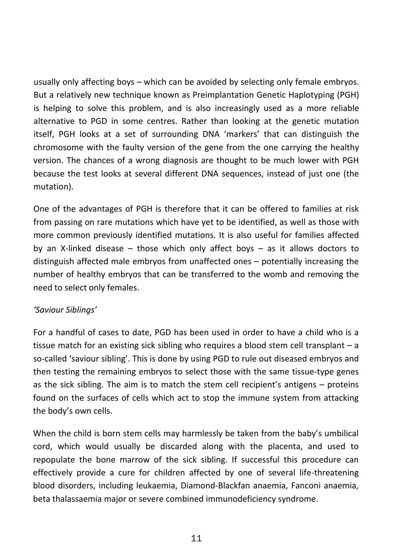usually only affecting boys – which can be avoided by selecting only female embryos. But a relatively new technique known as Preimplantation Genetic Haplotyping (PGH) is helping to solve this problem, and is also increasingly used as <sup>a</sup> more reliable alternative to PGD in some centres. Rather than looking at the genetic mutation itself, PGH looks at <sup>a</sup> set of surrounding DNA 'markers' that can distinguish the chromosome with the faulty version of the gene from the one carrying the healthy version. The chances of <sup>a</sup> wrong diagnosis are thought to be much lower with PGH because the test looks at several different DNA sequences, instead of just one (the mutation).

One of the advantages of PGH is therefore that it can be offered to families at risk from passing on rare mutations which have yet to be identified, as well as those with more common previously identified mutations. It is also useful for families affected by an X‐linked disease – those which only affect boys – as it allows doctors to distinguish affected male embryos from unaffected ones – potentially increasing the number of healthy embryos that can be transferred to the womb and removing the need to select only females.

#### *'Saviour Siblings'*

For a handful of cases to date, PGD has been used in order to have <sup>a</sup> child who is <sup>a</sup> tissue match for an existing sick sibling who requires <sup>a</sup> blood stem cell transplant – <sup>a</sup> so-called 'saviour sibling'. This is done by using PGD to rule out diseased embryos and then testing the remaining embryos to select those with the same tissue‐type genes as the sick sibling. The aim is to match the stem cell recipient's antigens – proteins found on the surfaces of cells which act to stop the immune system from attacking the body's own cells.

When the child is born stem cells may harmlessly be taken from the baby's umbilical cord, which would usually be discarded along with the placenta, and used to repopulate the bone marrow of the sick sibling. If successful this procedure can effectively provide a cure for children affected by one of several life-threatening blood disorders, including leukaemia, Diamond‐Blackfan anaemia, Fanconi anaemia, beta thalassaemia major or severe combined immunodeficiency syndrome.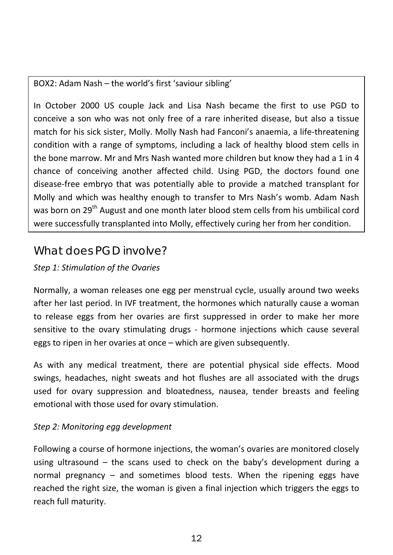#### <span id="page-12-0"></span>BOX2: Adam Nash – the world's first 'saviour sibling'

In October 2000 US couple Jack and Lisa Nash became the first to use PGD to conceive a son who was not only free of <sup>a</sup> rare inherited disease, but also <sup>a</sup> tissue match for his sick sister, Molly. Molly Nash had Fanconi's anaemia, <sup>a</sup> life‐threatening condition with <sup>a</sup> range of symptoms, including <sup>a</sup> lack of healthy blood stem cells in the bone marrow. Mr and Mrs Nash wanted more children but know they had <sup>a</sup> 1 in 4 chance of conceiving another affected child. Using PGD, the doctors found one disease‐free embryo that was potentially able to provide <sup>a</sup> matched transplant for Molly and which was healthy enough to transfer to Mrs Nash's womb. Adam Nash was born on 29<sup>th</sup> August and one month later blood stem cells from his umbilical cord were successfully transplanted into Molly, effectively curing her from her condition.

## What does PGD involve?

#### *Step 1: Stimulation of the Ovaries*

Normally, <sup>a</sup> woman releases one egg per menstrual cycle, usually around two weeks after her last period. In IVF treatment, the hormones which naturally cause <sup>a</sup> woman to release eggs from her ovaries are first suppressed in order to make her more sensitive to the ovary stimulating drugs ‐ hormone injections which cause several eggs to ripen in her ovaries at once – which are given subsequently.

As with any medical treatment, there are potential physical side effects. Mood swings, headaches, night sweats and hot flushes are all associated with the drugs used for ovary suppression and bloatedness, nausea, tender breasts and feeling emotional with those used for ovary stimulation.

#### *Step 2: Monitoring egg development*

Following <sup>a</sup> course of hormone injections, the woman's ovaries are monitored closely using ultrasound – the scans used to check on the baby's development during <sup>a</sup> normal pregnancy – and sometimes blood tests. When the ripening eggs have reached the right size, the woman is given <sup>a</sup> final injection which triggers the eggs to reach full maturity.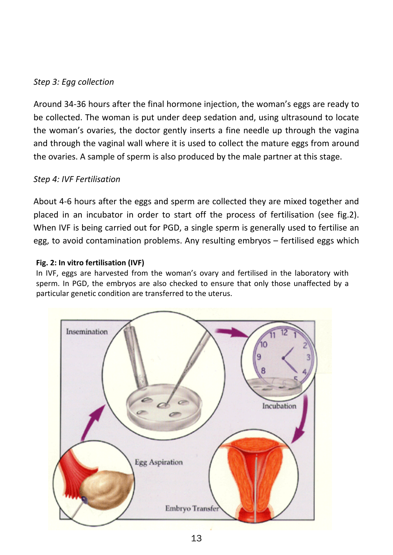#### *Step 3: Egg collection*

Around 34‐36 hours after the final hormone injection, the woman's eggs are ready to be collected. The woman is put under deep sedation and, using ultrasound to locate the woman's ovaries, the doctor gently inserts <sup>a</sup> fine needle up through the vagina and through the vaginal wall where it is used to collect the mature eggs from around the ovaries. A sample of sperm is also produced by the male partner at this stage.

#### *Step 4: IVF Fertilisation*

About 4‐6 hours after the eggs and sperm are collected they are mixed together and placed in an incubator in order to start off the process of fertilisation (see fig.2). When IVF is being carried out for PGD, <sup>a</sup> single sperm is generally used to fertilise an egg, to avoid contamination problems. Any resulting embryos – fertilised eggs which

#### **Fig. 2: In vitro fertilisation (IVF)**

In IVF, eggs are harvested from the woman's ovary and fertilised in the laboratory with sperm. In PGD, the embryos are also checked to ensure that only those unaffected by <sup>a</sup> particular genetic condition are transferred to the uterus.

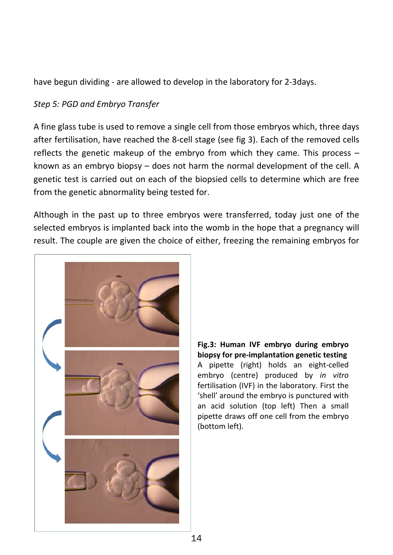have begun dividing ‐ are allowed to develop in the laboratory for 2‐3days.

#### *Step 5: PGD and Embryo Transfer*

A fine glass tube is used to remove <sup>a</sup> single cell from those embryos which, three days after fertilisation, have reached the 8‐cell stage (see fig 3). Each of the removed cells reflects the genetic makeup of the embryo from which they came. This process – known as an embryo biopsy – does not harm the normal development of the cell. A genetic test is carried out on each of the biopsied cells to determine which are free from the genetic abnormality being tested for.

Although in the past up to three embryos were transferred, today just one of the selected embryos is implanted back into the womb in the hope that <sup>a</sup> pregnancy will result. The couple are given the choice of either, freezing the remaining embryos for



**Fig.3: Human IVF embryo during embryo biopsy for pre‐implantation genetic testing** A pipette (right) holds an eight‐celled embryo (centre) produced by *in vitro* fertilisation (IVF) in the laboratory. First the 'shell' around the embryo is punctured with an acid solution (top left) Then <sup>a</sup> small pipette draws off one cell from the embryo (bottom left).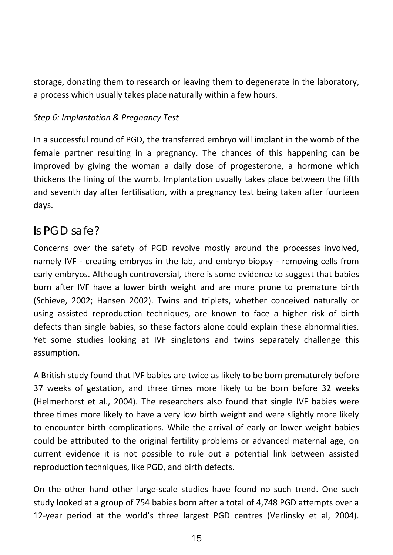<span id="page-15-0"></span>storage, donating them to research or leaving them to degenerate in the laboratory, a process which usually takes place naturally within <sup>a</sup> few hours.

#### *Step 6: Implantation & Pregnancy Test*

In <sup>a</sup> successful round of PGD, the transferred embryo will implant in the womb of the female partner resulting in <sup>a</sup> pregnancy. The chances of this happening can be improved by giving the woman <sup>a</sup> daily dose of progesterone, <sup>a</sup> hormone which thickens the lining of the womb. Implantation usually takes place between the fifth and seventh day after fertilisation, with <sup>a</sup> pregnancy test being taken after fourteen days.

### *Is PGD safe?*

Concerns over the safety of PGD revolve mostly around the processes involved, namely IVF - creating embryos in the lab, and embryo biopsy - removing cells from early embryos. Although controversial, there is some evidence to suggest that babies born after IVF have <sup>a</sup> lower birth weight and are more prone to premature birth (Schieve, 2002; Hansen 2002). Twins and triplets, whether conceived naturally or using assisted reproduction techniques, are known to face <sup>a</sup> higher risk of birth defects than single babies, so these factors alone could explain these abnormalities. Yet some studies looking at IVF singletons and twins separately challenge this assumption.

A British study found that IVF babies are twice as likely to be born prematurely before 37 weeks of gestation, and three times more likely to be born before 32 weeks (Helmerhorst et al., 2004). The researchers also found that single IVF babies were three times more likely to have <sup>a</sup> very low birth weight and were slightly more likely to encounter birth complications. While the arrival of early or lower weight babies could be attributed to the original fertility problems or advanced maternal age, on current evidence it is not possible to rule out <sup>a</sup> potential link between assisted reproduction techniques, like PGD, and birth defects.

On the other hand other large‐scale studies have found no such trend. One such study looked at <sup>a</sup> group of 754 babies born after <sup>a</sup> total of 4,748 PGD attempts over <sup>a</sup> 12‐year period at the world's three largest PGD centres (Verlinsky et al, 2004).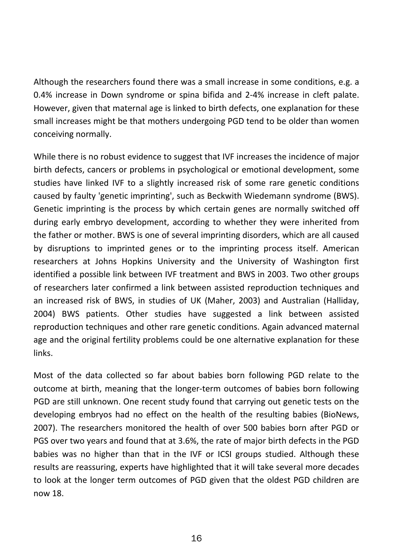Although the researchers found there was <sup>a</sup> small increase in some conditions, e.g. <sup>a</sup> 0.4% increase in Down syndrome or spina bifida and 2‐4% increase in cleft palate. However, given that maternal age is linked to birth defects, one explanation for these small increases might be that mothers undergoing PGD tend to be older than women conceiving normally.

While there is no robust evidence to suggest that IVF increases the incidence of major birth defects, cancers or problems in psychological or emotional development, some studies have linked IVF to <sup>a</sup> slightly increased risk of some rare genetic conditions caused by faulty 'genetic imprinting', such as Beckwith Wiedemann syndrome (BWS). Genetic imprinting is the process by which certain genes are normally switched off during early embryo development, according to whether they were inherited from the father or mother. BWS is one of several imprinting disorders, which are all caused by disruptions to imprinted genes or to the imprinting process itself. American researchers at Johns Hopkins University and the University of Washington first identified <sup>a</sup> possible link between IVF treatment and BWS in 2003. Two other groups of researchers later confirmed <sup>a</sup> link between assisted reproduction techniques and an increased risk of BWS, in studies of UK (Maher, 2003) and Australian (Halliday, 2004) BWS patients. Other studies have suggested <sup>a</sup> link between assisted reproduction techniques and other rare genetic conditions. Again advanced maternal age and the original fertility problems could be one alternative explanation for these links.

Most of the data collected so far about babies born following PGD relate to the outcome at birth, meaning that the longer‐term outcomes of babies born following PGD are still unknown. One recent study found that carrying out genetic tests on the developing embryos had no effect on the health of the resulting babies (BioNews, 2007). The researchers monitored the health of over 500 babies born after PGD or PGS over two years and found that at 3.6%, the rate of major birth defects in the PGD babies was no higher than that in the IVF or ICSI groups studied. Although these results are reassuring, experts have highlighted that it will take several more decades to look at the longer term outcomes of PGD given that the oldest PGD children are now 18.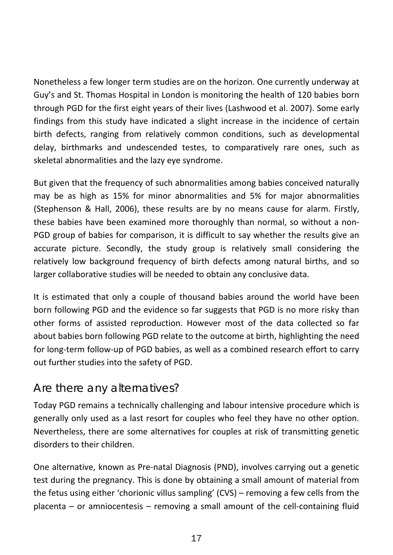<span id="page-17-0"></span>Nonetheless a few longer term studies are on the horizon. One currently underway at Guy's and St. Thomas Hospital in London is monitoring the health of 120 babies born through PGD for the first eight years of their lives (Lashwood et al. 2007). Some early findings from this study have indicated <sup>a</sup> slight increase in the incidence of certain birth defects, ranging from relatively common conditions, such as developmental delay, birthmarks and undescended testes, to comparatively rare ones, such as skeletal abnormalities and the lazy eye syndrome.

But given that the frequency of such abnormalities among babies conceived naturally may be as high as 15% for minor abnormalities and 5% for major abnormalities (Stephenson & Hall, 2006), these results are by no means cause for alarm. Firstly, these babies have been examined more thoroughly than normal, so without <sup>a</sup> non‐ PGD group of babies for comparison, it is difficult to say whether the results give an accurate picture. Secondly, the study group is relatively small considering the relatively low background frequency of birth defects among natural births, and so larger collaborative studies will be needed to obtain any conclusive data.

It is estimated that only <sup>a</sup> couple of thousand babies around the world have been born following PGD and the evidence so far suggests that PGD is no more risky than other forms of assisted reproduction. However most of the data collected so far about babies born following PGD relate to the outcome at birth, highlighting the need for long‐term follow‐up of PGD babies, as well as <sup>a</sup> combined research effort to carry out further studies into the safety of PGD.

### Are there any alternatives?

Today PGD remains <sup>a</sup> technically challenging and labour intensive procedure which is generally only used as <sup>a</sup> last resort for couples who feel they have no other option. Nevertheless, there are some alternatives for couples at risk of transmitting genetic disorders to their children.

One alternative, known as Pre‐natal Diagnosis (PND), involves carrying out <sup>a</sup> genetic test during the pregnancy. This is done by obtaining <sup>a</sup> small amount of material from the fetus using either 'chorionic villus sampling' (CVS) – removing <sup>a</sup> few cells from the placenta – or amniocentesis – removing <sup>a</sup> small amount of the cell‐containing fluid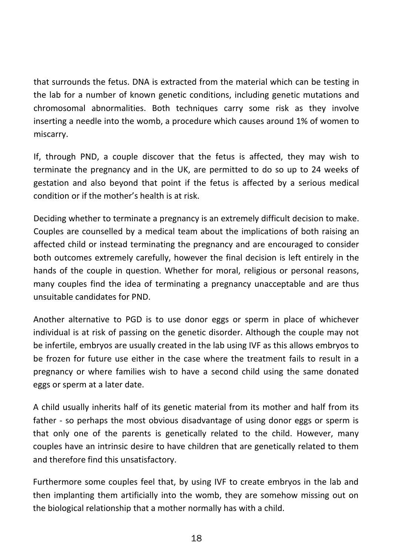that surrounds the fetus. DNA is extracted from the material which can be testing in the lab for <sup>a</sup> number of known genetic conditions, including genetic mutations and chromosomal abnormalities. Both techniques carry some risk as they involve inserting <sup>a</sup> needle into the womb, <sup>a</sup> procedure which causes around 1% of women to miscarry.

If, through PND, <sup>a</sup> couple discover that the fetus is affected, they may wish to terminate the pregnancy and in the UK, are permitted to do so up to 24 weeks of gestation and also beyond that point if the fetus is affected by <sup>a</sup> serious medical condition or if the mother's health is at risk.

Deciding whether to terminate <sup>a</sup> pregnancy is an extremely difficult decision to make. Couples are counselled by <sup>a</sup> medical team about the implications of both raising an affected child or instead terminating the pregnancy and are encouraged to consider both outcomes extremely carefully, however the final decision is left entirely in the hands of the couple in question. Whether for moral, religious or personal reasons, many couples find the idea of terminating <sup>a</sup> pregnancy unacceptable and are thus unsuitable candidates for PND.

Another alternative to PGD is to use donor eggs or sperm in place of whichever individual is at risk of passing on the genetic disorder. Although the couple may not be infertile, embryos are usually created in the lab using IVF as this allows embryos to be frozen for future use either in the case where the treatment fails to result in <sup>a</sup> pregnancy or where families wish to have <sup>a</sup> second child using the same donated eggs or sperm at <sup>a</sup> later date.

A child usually inherits half of its genetic material from its mother and half from its father - so perhaps the most obvious disadvantage of using donor eggs or sperm is that only one of the parents is genetically related to the child. However, many couples have an intrinsic desire to have children that are genetically related to them and therefore find this unsatisfactory.

Furthermore some couples feel that, by using IVF to create embryos in the lab and then implanting them artificially into the womb, they are somehow missing out on the biological relationship that <sup>a</sup> mother normally has with <sup>a</sup> child.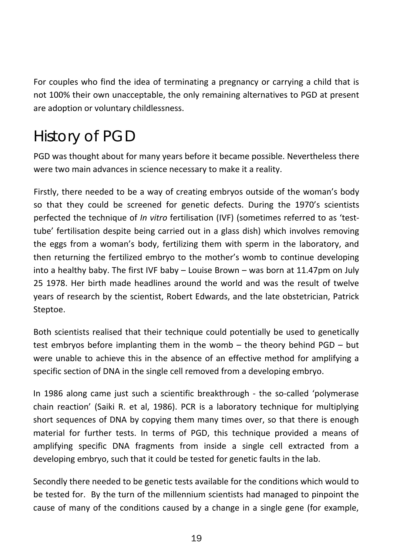<span id="page-19-0"></span>For couples who find the idea of terminating <sup>a</sup> pregnancy or carrying <sup>a</sup> child that is not 100% their own unacceptable, the only remaining alternatives to PGD at present are adoption or voluntary childlessness.

# History of PGD

PGD was thought about for many years before it became possible. Nevertheless there were two main advances in science necessary to make it <sup>a</sup> reality.

Firstly, there needed to be <sup>a</sup> way of creating embryos outside of the woman's body so that they could be screened for genetic defects. During the 1970's scientists perfected the technique of *In vitro* fertilisation (IVF) (sometimes referred to as 'test‐ tube' fertilisation despite being carried out in <sup>a</sup> glass dish) which involves removing the eggs from <sup>a</sup> woman's body, fertilizing them with sperm in the laboratory, and then returning the fertilized embryo to the mother's womb to continue developing into <sup>a</sup> healthy baby. The first IVF baby – Louise Brown – was born at 11.47pm on July 25 1978. Her birth made headlines around the world and was the result of twelve years of research by the scientist, Robert Edwards, and the late obstetrician, Patrick Steptoe.

Both scientists realised that their technique could potentially be used to genetically test embryos before implanting them in the womb – the theory behind PGD – but were unable to achieve this in the absence of an effective method for amplifying <sup>a</sup> specific section of DNA in the single cell removed from <sup>a</sup> developing embryo.

In 1986 along came just such <sup>a</sup> scientific breakthrough ‐ the so‐called 'polymerase chain reaction' (Saiki R. et al, 1986). PCR is <sup>a</sup> laboratory technique for multiplying short sequences of DNA by copying them many times over, so that there is enough material for further tests. In terms of PGD, this technique provided <sup>a</sup> means of amplifying specific DNA fragments from inside <sup>a</sup> single cell extracted from <sup>a</sup> developing embryo, such that it could be tested for genetic faults in the lab.

Secondly there needed to be genetic tests available for the conditions which would to be tested for. By the turn of the millennium scientists had managed to pinpoint the cause of many of the conditions caused by <sup>a</sup> change in <sup>a</sup> single gene (for example,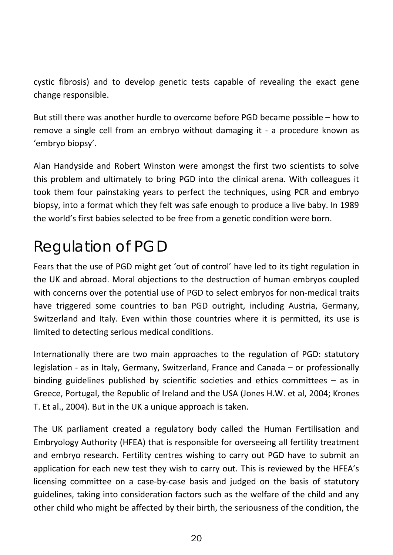<span id="page-20-0"></span>cystic fibrosis) and to develop genetic tests capable of revealing the exact gene change responsible.

But still there was another hurdle to overcome before PGD became possible – how to remove <sup>a</sup> single cell from an embryo without damaging it ‐ <sup>a</sup> procedure known as 'embryo biopsy'.

Alan Handyside and Robert Winston were amongst the first two scientists to solve this problem and ultimately to bring PGD into the clinical arena. With colleagues it took them four painstaking years to perfect the techniques, using PCR and embryo biopsy, into <sup>a</sup> format which they felt was safe enough to produce <sup>a</sup> live baby. In 1989 the world's first babies selected to be free from <sup>a</sup> genetic condition were born.

# Regulation of PGD

Fears that the use of PGD might get 'out of control' have led to its tight regulation in the UK and abroad. Moral objections to the destruction of human embryos coupled with concerns over the potential use of PGD to select embryos for non‐medical traits have triggered some countries to ban PGD outright, including Austria, Germany, Switzerland and Italy. Even within those countries where it is permitted, its use is limited to detecting serious medical conditions.

Internationally there are two main approaches to the regulation of PGD: statutory legislation ‐ as in Italy, Germany, Switzerland, France and Canada – or professionally binding guidelines published by scientific societies and ethics committees – as in Greece, Portugal, the Republic of Ireland and the USA (Jones H.W. et al, 2004; Krones T. Et al., 2004). But in the UK <sup>a</sup> unique approach is taken.

The UK parliament created <sup>a</sup> regulatory body called the Human Fertilisation and Embryology Authority (HFEA) that is responsible for overseeing all fertility treatment and embryo research. Fertility centres wishing to carry out PGD have to submit an application for each new test they wish to carry out. This is reviewed by the HFEA's licensing committee on <sup>a</sup> case‐by‐case basis and judged on the basis of statutory guidelines, taking into consideration factors such as the welfare of the child and any other child who might be affected by their birth, the seriousness of the condition, the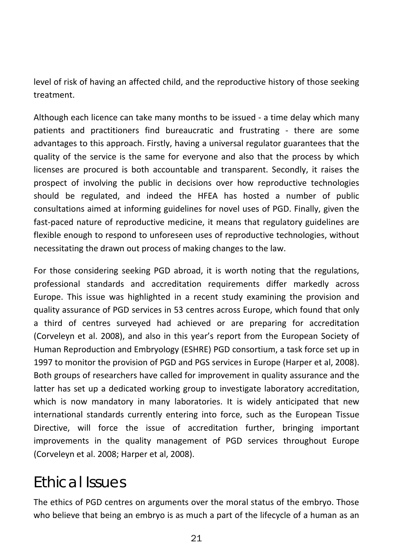<span id="page-21-0"></span>level of risk of having an affected child, and the reproductive history of those seeking treatment.

Although each licence can take many months to be issued ‐ <sup>a</sup> time delay which many patients and practitioners find bureaucratic and frustrating ‐ there are some advantages to this approach. Firstly, having <sup>a</sup> universal regulator guarantees that the quality of the service is the same for everyone and also that the process by which licenses are procured is both accountable and transparent. Secondly, it raises the prospect of involving the public in decisions over how reproductive technologies should be regulated, and indeed the HFEA has hosted <sup>a</sup> number of public consultations aimed at informing guidelines for novel uses of PGD. Finally, given the fast-paced nature of reproductive medicine, it means that regulatory guidelines are flexible enough to respond to unforeseen uses of reproductive technologies, without necessitating the drawn out process of making changes to the law.

For those considering seeking PGD abroad, it is worth noting that the regulations, professional standards and accreditation requirements differ markedly across Europe. This issue was highlighted in <sup>a</sup> recent study examining the provision and quality assurance of PGD services in 53 centres across Europe, which found that only a third of centres surveyed had achieved or are preparing for accreditation (Corveleyn et al. 2008), and also in this year's report from the European Society of Human Reproduction and Embryology (ESHRE) PGD consortium, <sup>a</sup> task force set up in 1997 to monitor the provision of PGD and PGS services in Europe (Harper et al, 2008). Both groups of researchers have called for improvement in quality assurance and the latter has set up <sup>a</sup> dedicated working group to investigate laboratory accreditation, which is now mandatory in many laboratories. It is widely anticipated that new international standards currently entering into force, such as the European Tissue Directive, will force the issue of accreditation further, bringing important improvements in the quality management of PGD services throughout Europe (Corveleyn et al. 2008; Harper et al, 2008).

# Ethical Issues

The ethics of PGD centres on arguments over the moral status of the embryo. Those who believe that being an embryo is as much <sup>a</sup> part of the lifecycle of <sup>a</sup> human as an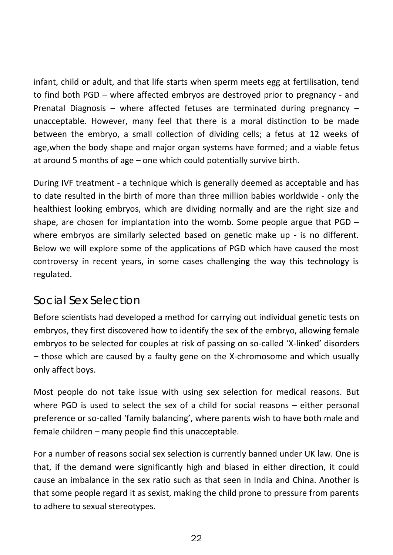<span id="page-22-0"></span>infant, child or adult, and that life starts when sperm meets egg at fertilisation, tend to find both PGD – where affected embryos are destroyed prior to pregnancy ‐ and Prenatal Diagnosis – where affected fetuses are terminated during pregnancy – unacceptable. However, many feel that there is <sup>a</sup> moral distinction to be made between the embryo, <sup>a</sup> small collection of dividing cells; <sup>a</sup> fetus at 12 weeks of age,when the body shape and major organ systems have formed; and <sup>a</sup> viable fetus at around 5 months of age – one which could potentially survive birth.

During IVF treatment ‐ <sup>a</sup> technique which is generally deemed as acceptable and has to date resulted in the birth of more than three million babies worldwide ‐ only the healthiest looking embryos, which are dividing normally and are the right size and shape, are chosen for implantation into the womb. Some people argue that  $PGD$ where embryos are similarly selected based on genetic make up ‐ is no different. Below we will explore some of the applications of PGD which have caused the most controversy in recent years, in some cases challenging the way this technology is regulated.

### *Social Sex Selection*

Before scientists had developed <sup>a</sup> method for carrying out individual genetic tests on embryos, they first discovered how to identify the sex of the embryo, allowing female embryos to be selected for couples at risk of passing on so‐called 'X‐linked' disorders – those which are caused by <sup>a</sup> faulty gene on the X‐chromosome and which usually only affect boys.

Most people do not take issue with using sex selection for medical reasons. But where PGD is used to select the sex of <sup>a</sup> child for social reasons – either personal preference or so-called 'family balancing', where parents wish to have both male and female children – many people find this unacceptable.

For a number of reasons social sex selection is currently banned under UK law. One is that, if the demand were significantly high and biased in either direction, it could cause an imbalance in the sex ratio such as that seen in India and China. Another is that some people regard it as sexist, making the child prone to pressure from parents to adhere to sexual stereotypes.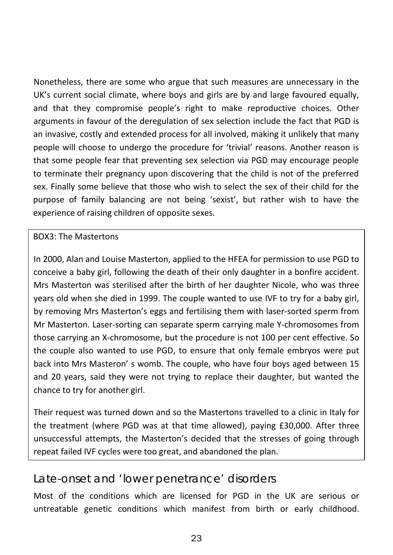<span id="page-23-0"></span>Nonetheless, there are some who argue that such measures are unnecessary in the UK's current social climate, where boys and girls are by and large favoured equally, and that they compromise people's right to make reproductive choices. Other arguments in favour of the deregulation of sex selection include the fact that PGD is an invasive, costly and extended process for all involved, making it unlikely that many people will choose to undergo the procedure for 'trivial' reasons. Another reason is that some people fear that preventing sex selection via PGD may encourage people to terminate their pregnancy upon discovering that the child is not of the preferred sex. Finally some believe that those who wish to select the sex of their child for the purpose of family balancing are not being 'sexist', but rather wish to have the experience of raising children of opposite sexes.

#### BOX3: The Mastertons

In 2000, Alan and Louise Masterton, applied to the HFEA for permission to use PGD to conceive <sup>a</sup> baby girl, following the death of their only daughter in <sup>a</sup> bonfire accident. Mrs Masterton was sterilised after the birth of her daughter Nicole, who was three years old when she died in 1999. The couple wanted to use IVF to try for <sup>a</sup> baby girl, by removing Mrs Masterton's eggs and fertilising them with laser-sorted sperm from Mr Masterton. Laser‐sorting can separate sperm carrying male Y‐chromosomes from those carrying an X‐chromosome, but the procedure is not 100 per cent effective. So the couple also wanted to use PGD, to ensure that only female embryos were put back into Mrs Masteron' <sup>s</sup> womb. The couple, who have four boys aged between 15 and 20 years, said they were not trying to replace their daughter, but wanted the chance to try for another girl.

Their request was turned down and so the Mastertons travelled to <sup>a</sup> clinic in Italy for the treatment (where PGD was at that time allowed), paying £30,000. After three unsuccessful attempts, the Masterton's decided that the stresses of going through repeat failed IVF cycles were too great, and abandoned the plan.

### *Late-onset and 'lower penetrance' disorders*

Most of the conditions which are licensed for PGD in the UK are serious or untreatable genetic conditions which manifest from birth or early childhood.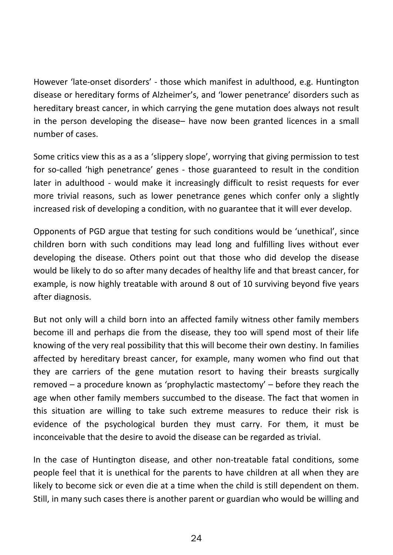However 'late‐onset disorders' ‐ those which manifest in adulthood, e.g. Huntington disease or hereditary forms of Alzheimer's, and 'lower penetrance' disorders such as hereditary breast cancer, in which carrying the gene mutation does always not result in the person developing the disease– have now been granted licences in <sup>a</sup> small number of cases.

Some critics view this as <sup>a</sup> as <sup>a</sup> 'slippery slope', worrying that giving permission to test for so‐called 'high penetrance' genes ‐ those guaranteed to result in the condition later in adulthood - would make it increasingly difficult to resist requests for ever more trivial reasons, such as lower penetrance genes which confer only <sup>a</sup> slightly increased risk of developing <sup>a</sup> condition, with no guarantee that it will ever develop.

Opponents of PGD argue that testing for such conditions would be 'unethical', since children born with such conditions may lead long and fulfilling lives without ever developing the disease. Others point out that those who did develop the disease would be likely to do so after many decades of healthy life and that breast cancer, for example, is now highly treatable with around 8 out of 10 surviving beyond five years after diagnosis.

But not only will <sup>a</sup> child born into an affected family witness other family members become ill and perhaps die from the disease, they too will spend most of their life knowing of the very real possibility that this will become their own destiny. In families affected by hereditary breast cancer, for example, many women who find out that they are carriers of the gene mutation resort to having their breasts surgically removed – <sup>a</sup> procedure known as 'prophylactic mastectomy' – before they reach the age when other family members succumbed to the disease. The fact that women in this situation are willing to take such extreme measures to reduce their risk is evidence of the psychological burden they must carry. For them, it must be inconceivable that the desire to avoid the disease can be regarded as trivial.

In the case of Huntington disease, and other non‐treatable fatal conditions, some people feel that it is unethical for the parents to have children at all when they are likely to become sick or even die at <sup>a</sup> time when the child is still dependent on them. Still, in many such cases there is another parent or guardian who would be willing and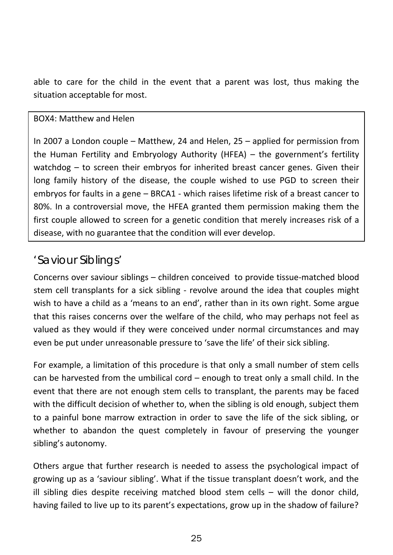<span id="page-25-0"></span>able to care for the child in the event that <sup>a</sup> parent was lost, thus making the situation acceptable for most.

#### BOX4: Matthew and Helen

In 2007 <sup>a</sup> London couple – Matthew, 24 and Helen, 25 – applied for permission from the Human Fertility and Embryology Authority (HFEA) – the government's fertility watchdog – to screen their embryos for inherited breast cancer genes. Given their long family history of the disease, the couple wished to use PGD to screen their embryos for faults in a gene – BRCA1 - which raises lifetime risk of a breast cancer to 80%. In <sup>a</sup> controversial move, the HFEA granted them permission making them the first couple allowed to screen for <sup>a</sup> genetic condition that merely increases risk of <sup>a</sup> disease, with no guarantee that the condition will ever develop.

### *'Saviour Siblings'*

Concerns over saviour siblings – children conceived to provide tissue‐matched blood stem cell transplants for <sup>a</sup> sick sibling ‐ revolve around the idea that couples might wish to have <sup>a</sup> child as <sup>a</sup> 'means to an end', rather than in its own right. Some argue that this raises concerns over the welfare of the child, who may perhaps not feel as valued as they would if they were conceived under normal circumstances and may even be put under unreasonable pressure to 'save the life' of their sick sibling.

For example, <sup>a</sup> limitation of this procedure is that only <sup>a</sup> small number of stem cells can be harvested from the umbilical cord – enough to treat only <sup>a</sup> small child. In the event that there are not enough stem cells to transplant, the parents may be faced with the difficult decision of whether to, when the sibling is old enough, subject them to <sup>a</sup> painful bone marrow extraction in order to save the life of the sick sibling, or whether to abandon the quest completely in favour of preserving the younger sibling's autonomy.

Others argue that further research is needed to assess the psychological impact of growing up as <sup>a</sup> 'saviour sibling'. What if the tissue transplant doesn't work, and the ill sibling dies despite receiving matched blood stem cells – will the donor child, having failed to live up to its parent's expectations, grow up in the shadow of failure?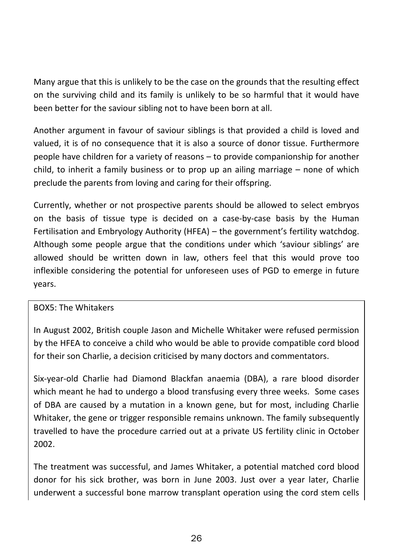Many argue that this is unlikely to be the case on the grounds that the resulting effect on the surviving child and its family is unlikely to be so harmful that it would have been better for the saviour sibling not to have been born at all.

Another argument in favour of saviour siblings is that provided <sup>a</sup> child is loved and valued, it is of no consequence that it is also <sup>a</sup> source of donor tissue. Furthermore people have children for <sup>a</sup> variety of reasons – to provide companionship for another child, to inherit <sup>a</sup> family business or to prop up an ailing marriage – none of which preclude the parents from loving and caring for their offspring.

Currently, whether or not prospective parents should be allowed to select embryos on the basis of tissue type is decided on <sup>a</sup> case‐by‐case basis by the Human Fertilisation and Embryology Authority (HFEA) – the government's fertility watchdog. Although some people argue that the conditions under which 'saviour siblings' are allowed should be written down in law, others feel that this would prove too inflexible considering the potential for unforeseen uses of PGD to emerge in future years.

#### BOX5: The Whitakers

In August 2002, British couple Jason and Michelle Whitaker were refused permission by the HFEA to conceive <sup>a</sup> child who would be able to provide compatible cord blood for their son Charlie, <sup>a</sup> decision criticised by many doctors and commentators.

Six‐year‐old Charlie had Diamond Blackfan anaemia (DBA), <sup>a</sup> rare blood disorder which meant he had to undergo <sup>a</sup> blood transfusing every three weeks. Some cases of DBA are caused by <sup>a</sup> mutation in <sup>a</sup> known gene, but for most, including Charlie Whitaker, the gene or trigger responsible remains unknown. The family subsequently travelled to have the procedure carried out at <sup>a</sup> private US fertility clinic in October 2002.

The treatment was successful, and James Whitaker, <sup>a</sup> potential matched cord blood donor for his sick brother, was born in June 2003. Just over <sup>a</sup> year later, Charlie underwent a successful bone marrow transplant operation using the cord stem cells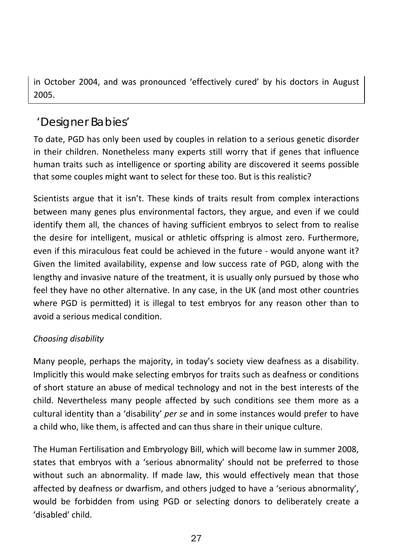<span id="page-27-0"></span>in October 2004, and was pronounced 'effectively cured' by his doctors in August 2005.

## *'Designer Babies'*

To date, PGD has only been used by couples in relation to <sup>a</sup> serious genetic disorder in their children. Nonetheless many experts still worry that if genes that influence human traits such as intelligence or sporting ability are discovered it seems possible that some couples might want to select for these too. But is this realistic?

Scientists argue that it isn't. These kinds of traits result from complex interactions between many genes plus environmental factors, they argue, and even if we could identify them all, the chances of having sufficient embryos to select from to realise the desire for intelligent, musical or athletic offspring is almost zero. Furthermore, even if this miraculous feat could be achieved in the future ‐ would anyone want it? Given the limited availability, expense and low success rate of PGD, along with the lengthy and invasive nature of the treatment, it is usually only pursued by those who feel they have no other alternative. In any case, in the UK (and most other countries where PGD is permitted) it is illegal to test embryos for any reason other than to avoid <sup>a</sup> serious medical condition.

#### *Choosing disability*

Many people, perhaps the majority, in today's society view deafness as <sup>a</sup> disability. Implicitly this would make selecting embryos for traits such as deafness or conditions of short stature an abuse of medical technology and not in the best interests of the child. Nevertheless many people affected by such conditions see them more as <sup>a</sup> cultural identity than <sup>a</sup> 'disability' *per se* and in some instances would prefer to have a child who, like them, is affected and can thus share in their unique culture.

The Human Fertilisation and Embryology Bill, which will become law in summer 2008, states that embryos with <sup>a</sup> 'serious abnormality' should not be preferred to those without such an abnormality. If made law, this would effectively mean that those affected by deafness or dwarfism, and others judged to have <sup>a</sup> 'serious abnormality', would be forbidden from using PGD or selecting donors to deliberately create <sup>a</sup> 'disabled' child.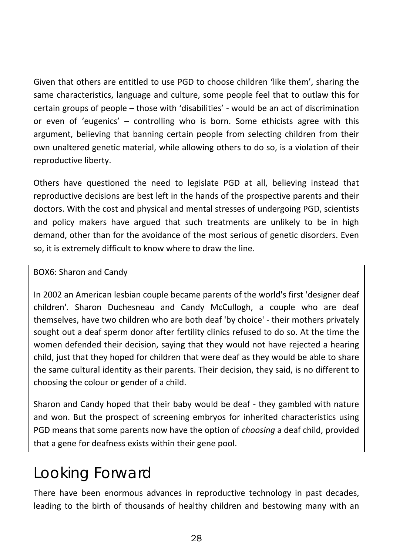<span id="page-28-0"></span>Given that others are entitled to use PGD to choose children 'like them', sharing the same characteristics, language and culture, some people feel that to outlaw this for certain groups of people – those with 'disabilities' ‐ would be an act of discrimination or even of 'eugenics' – controlling who is born. Some ethicists agree with this argument, believing that banning certain people from selecting children from their own unaltered genetic material, while allowing others to do so, is <sup>a</sup> violation of their reproductive liberty.

Others have questioned the need to legislate PGD at all, believing instead that reproductive decisions are best left in the hands of the prospective parents and their doctors. With the cost and physical and mental stresses of undergoing PGD, scientists and policy makers have argued that such treatments are unlikely to be in high demand, other than for the avoidance of the most serious of genetic disorders. Even so, it is extremely difficult to know where to draw the line.

#### BOX6: Sharon and Candy

In 2002 an American lesbian couple became parents of the world's first 'designer deaf children'. Sharon Duchesneau and Candy McCullogh, <sup>a</sup> couple who are deaf themselves, have two children who are both deaf 'by choice' ‐ their mothers privately sought out <sup>a</sup> deaf sperm donor after fertility clinics refused to do so. At the time the women defended their decision, saying that they would not have rejected <sup>a</sup> hearing child, just that they hoped for children that were deaf as they would be able to share the same cultural identity as their parents. Their decision, they said, is no different to choosing the colour or gender of <sup>a</sup> child.

Sharon and Candy hoped that their baby would be deaf ‐ they gambled with nature and won. But the prospect of screening embryos for inherited characteristics using PGD means that some parents now have the option of *choosing* <sup>a</sup> deaf child, provided that a gene for deafness exists within their gene pool.

# Looking Forward

There have been enormous advances in reproductive technology in past decades, leading to the birth of thousands of healthy children and bestowing many with an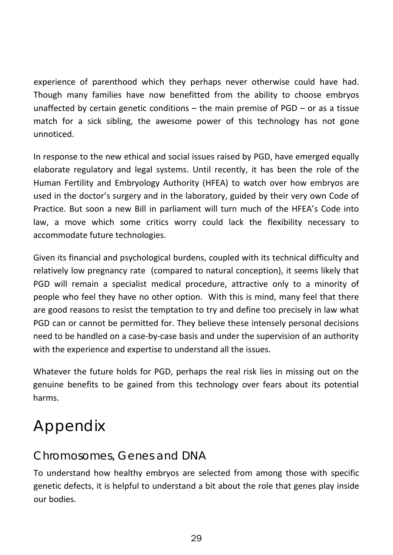<span id="page-29-0"></span>experience of parenthood which they perhaps never otherwise could have had. Though many families have now benefitted from the ability to choose embryos unaffected by certain genetic conditions – the main premise of PGD – or as <sup>a</sup> tissue match for <sup>a</sup> sick sibling, the awesome power of this technology has not gone unnoticed.

In response to the new ethical and social issues raised by PGD, have emerged equally elaborate regulatory and legal systems. Until recently, it has been the role of the Human Fertility and Embryology Authority (HFEA) to watch over how embryos are used in the doctor's surgery and in the laboratory, guided by their very own Code of Practice. But soon a new Bill in parliament will turn much of the HFEA's Code into law, <sup>a</sup> move which some critics worry could lack the flexibility necessary to accommodate future technologies.

Given its financial and psychological burdens, coupled with its technical difficulty and relatively low pregnancy rate (compared to natural conception), it seems likely that PGD will remain <sup>a</sup> specialist medical procedure, attractive only to <sup>a</sup> minority of people who feel they have no other option. With this is mind, many feel that there are good reasons to resist the temptation to try and define too precisely in law what PGD can or cannot be permitted for. They believe these intensely personal decisions need to be handled on <sup>a</sup> case‐by‐case basis and under the supervision of an authority with the experience and expertise to understand all the issues.

Whatever the future holds for PGD, perhaps the real risk lies in missing out on the genuine benefits to be gained from this technology over fears about its potential harms.

# Appendix

### *Chromosomes, Genes and DNA*

To understand how healthy embryos are selected from among those with specific genetic defects, it is helpful to understand <sup>a</sup> bit about the role that genes play inside our bodies.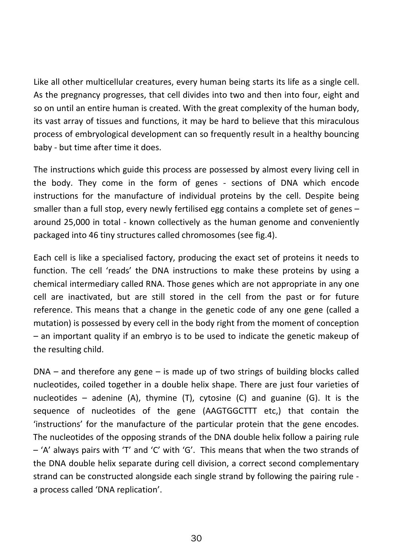Like all other multicellular creatures, every human being starts its life as <sup>a</sup> single cell. As the pregnancy progresses, that cell divides into two and then into four, eight and so on until an entire human is created. With the great complexity of the human body, its vast array of tissues and functions, it may be hard to believe that this miraculous process of embryological development can so frequently result in <sup>a</sup> healthy bouncing baby ‐ but time after time it does.

The instructions which guide this process are possessed by almost every living cell in the body. They come in the form of genes ‐ sections of DNA which encode instructions for the manufacture of individual proteins by the cell. Despite being smaller than <sup>a</sup> full stop, every newly fertilised egg contains <sup>a</sup> complete set of genes – around 25,000 in total ‐ known collectively as the human genome and conveniently packaged into 46 tiny structures called chromosomes (see fig.4).

Each cell is like <sup>a</sup> specialised factory, producing the exact set of proteins it needs to function. The cell 'reads' the DNA instructions to make these proteins by using <sup>a</sup> chemical intermediary called RNA. Those genes which are not appropriate in any one cell are inactivated, but are still stored in the cell from the past or for future reference. This means that <sup>a</sup> change in the genetic code of any one gene (called <sup>a</sup> mutation) is possessed by every cell in the body right from the moment of conception – an important quality if an embryo is to be used to indicate the genetic makeup of the resulting child.

DNA – and therefore any gene – is made up of two strings of building blocks called nucleotides, coiled together in <sup>a</sup> double helix shape. There are just four varieties of nucleotides – adenine (A), thymine (T), cytosine (C) and guanine (G). It is the sequence of nucleotides of the gene (AAGTGGCTTT etc,) that contain the 'instructions' for the manufacture of the particular protein that the gene encodes. The nucleotides of the opposing strands of the DNA double helix follow <sup>a</sup> pairing rule – 'A' always pairs with 'T' and 'C' with 'G'. This means that when the two strands of the DNA double helix separate during cell division, <sup>a</sup> correct second complementary strand can be constructed alongside each single strand by following the pairing rule ‐ a process called 'DNA replication'.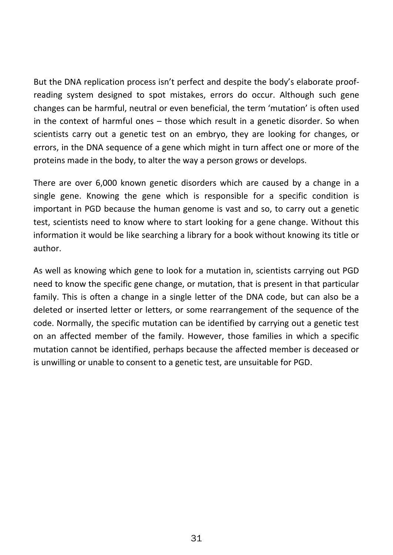But the DNA replication process isn't perfect and despite the body's elaborate proof‐ reading system designed to spot mistakes, errors do occur. Although such gene changes can be harmful, neutral or even beneficial, the term 'mutation' is often used in the context of harmful ones – those which result in <sup>a</sup> genetic disorder. So when scientists carry out <sup>a</sup> genetic test on an embryo, they are looking for changes, or errors, in the DNA sequence of <sup>a</sup> gene which might in turn affect one or more of the proteins made in the body, to alter the way <sup>a</sup> person grows or develops.

There are over 6,000 known genetic disorders which are caused by <sup>a</sup> change in <sup>a</sup> single gene. Knowing the gene which is responsible for <sup>a</sup> specific condition is important in PGD because the human genome is vast and so, to carry out <sup>a</sup> genetic test, scientists need to know where to start looking for <sup>a</sup> gene change. Without this information it would be like searching <sup>a</sup> library for <sup>a</sup> book without knowing its title or author.

As well as knowing which gene to look for <sup>a</sup> mutation in, scientists carrying out PGD need to know the specific gene change, or mutation, that is present in that particular family. This is often <sup>a</sup> change in <sup>a</sup> single letter of the DNA code, but can also be <sup>a</sup> deleted or inserted letter or letters, or some rearrangement of the sequence of the code. Normally, the specific mutation can be identified by carrying out <sup>a</sup> genetic test on an affected member of the family. However, those families in which <sup>a</sup> specific mutation cannot be identified, perhaps because the affected member is deceased or is unwilling or unable to consent to <sup>a</sup> genetic test, are unsuitable for PGD.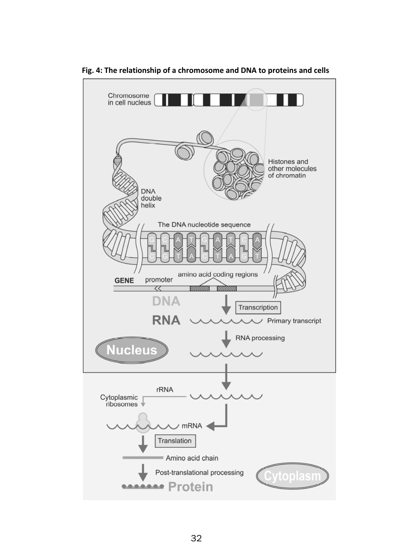

**Fig. 4: The relationship of <sup>a</sup> chromosome and DNA to proteins and cells**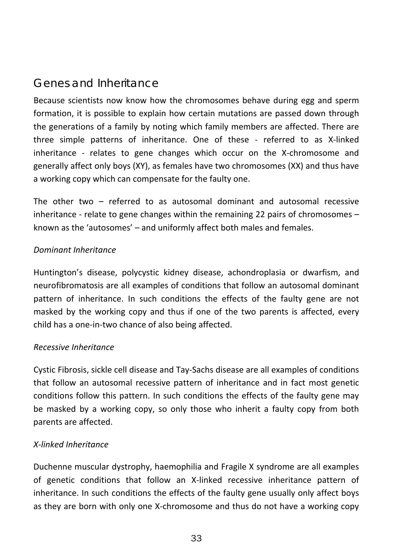## <span id="page-33-0"></span>*Genes and Inheritance*

Because scientists now know how the chromosomes behave during egg and sperm formation, it is possible to explain how certain mutations are passed down through the generations of <sup>a</sup> family by noting which family members are affected. There are three simple patterns of inheritance. One of these ‐ referred to as X‐linked inheritance - relates to gene changes which occur on the X-chromosome and generally affect only boys (XY), as females have two chromosomes (XX) and thus have a working copy which can compensate for the faulty one.

The other two – referred to as autosomal dominant and autosomal recessive inheritance ‐ relate to gene changes within the remaining 22 pairs of chromosomes – known as the 'autosomes' – and uniformly affect both males and females.

#### *Dominant Inheritance*

Huntington's disease, polycystic kidney disease, achondroplasia or dwarfism, and neurofibromatosis are all examples of conditions that follow an autosomal dominant pattern of inheritance. In such conditions the effects of the faulty gene are not masked by the working copy and thus if one of the two parents is affected, every child has <sup>a</sup> one‐in‐two chance of also being affected.

#### *Recessive Inheritance*

Cystic Fibrosis, sickle cell disease and Tay‐Sachs disease are all examples of conditions that follow an autosomal recessive pattern of inheritance and in fact most genetic conditions follow this pattern. In such conditions the effects of the faulty gene may be masked by <sup>a</sup> working copy, so only those who inherit <sup>a</sup> faulty copy from both parents are affected.

#### *X‐linked Inheritance*

Duchenne muscular dystrophy, haemophilia and Fragile X syndrome are all examples of genetic conditions that follow an X‐linked recessive inheritance pattern of inheritance. In such conditions the effects of the faulty gene usually only affect boys as they are born with only one X‐chromosome and thus do not have <sup>a</sup> working copy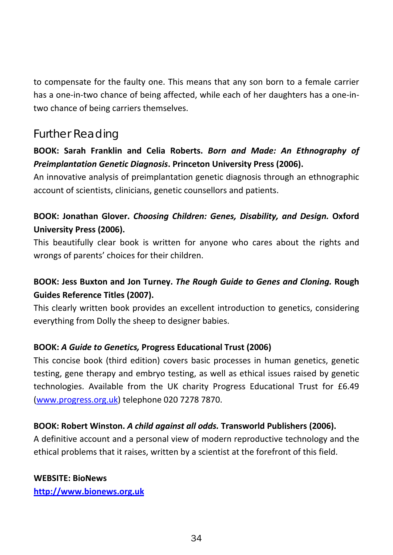<span id="page-34-0"></span>to compensate for the faulty one. This means that any son born to <sup>a</sup> female carrier has a one‐in‐two chance of being affected, while each of her daughters has <sup>a</sup> one‐in‐ two chance of being carriers themselves.

### *Further Reading*

#### **BOOK: Sarah Franklin and Celia Roberts.** *Born and Made: An Ethnography of Preimplantation Genetic Diagnosis***. Princeton University Press (2006).**

An innovative analysis of preimplantation genetic diagnosis through an ethnographic account of scientists, clinicians, genetic counsellors and patients.

#### **BOOK: Jonathan Glover.** *Choosing Children: Genes, Disability, and Design.* **Oxford University Press (2006).**

This beautifully clear book is written for anyone who cares about the rights and wrongs of parents' choices for their children.

#### **BOOK: Jess Buxton and Jon Turney.** *The Rough Guide to Genes and Cloning.* **Rough Guides Reference Titles (2007).**

This clearly written book provides an excellent introduction to genetics, considering everything from Dolly the sheep to designer babies.

#### **BOOK:** *A Guide to Genetics,* **Progress Educational Trust (2006)**

This concise book (third edition) covers basic processes in human genetics, genetic testing, gene therapy and embryo testing, as well as ethical issues raised by genetic technologies. Available from the UK charity Progress Educational Trust for £6.49 ([www.progress.org.uk](http://www.progress.org.uk/)) telephone 020 7278 7870.

#### **BOOK: Robert Winston.** *A child against all odds.* **Transworld Publishers (2006).**

A definitive account and <sup>a</sup> personal view of modern reproductive technology and the ethical problems that it raises, written by <sup>a</sup> scientist at the forefront of this field.

#### **WEBSITE: BioNews**

**[http://www.bionews.org.uk](http://www.bionews.org.uk/)**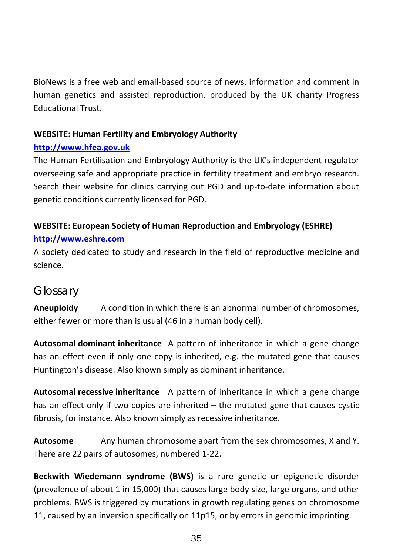<span id="page-35-0"></span>BioNews is a free web and email‐based source of news, information and comment in human genetics and assisted reproduction, produced by the UK charity Progress Educational Trust.

#### **WEBSITE: Human Fertility and Embryology Authority**

#### **[http://www.hfea.gov.uk](http://www.hfea.gov.uk/)**

The Human Fertilisation and Embryology Authority is the UK's independent regulator overseeing safe and appropriate practice in fertility treatment and embryo research. Search their website for clinics carrying out PGD and up‐to‐date information about genetic conditions currently licensed for PGD.

#### **WEBSITE: European Society of Human Reproduction and Embryology (ESHRE) [http://www.eshre.com](http://www.eshre.com/)**

A society dedicated to study and research in the field of reproductive medicine and science.

### *Glossary*

**Aneuploidy** A condition in which there is an abnormal number of chromosomes, either fewer or more than is usual (46 in <sup>a</sup> human body cell).

**Autosomal dominant inheritance** A pattern of inheritance in which <sup>a</sup> gene change has an effect even if only one copy is inherited, e.g. the mutated gene that causes Huntington's disease. Also known simply as dominant inheritance.

**Autosomal recessive inheritance** A pattern of inheritance in which <sup>a</sup> gene change has an effect only if two copies are inherited – the mutated gene that causes cystic fibrosis, for instance. Also known simply as recessive inheritance.

**Autosome** Any human chromosome apart from the sex chromosomes, X and Y. There are 22 pairs of autosomes, numbered 1‐22.

**Beckwith Wiedemann syndrome (BWS)** is <sup>a</sup> rare genetic or epigenetic disorder (prevalence of about 1 in 15,000) that causes large body size, large organs, and other problems. BWS is triggered by mutations in growth regulating genes on chromosome 11, caused by an inversion specifically on 11p15, or by errors in genomic imprinting.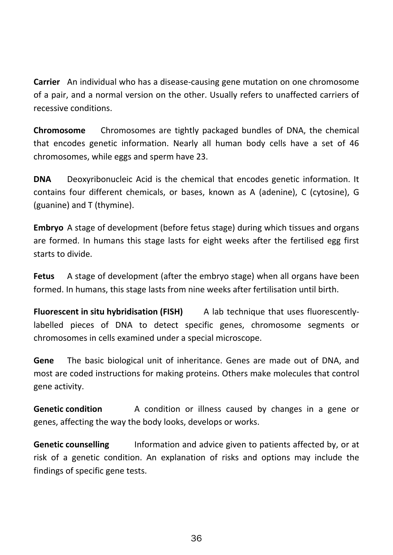**Carrier** An individual who has <sup>a</sup> disease‐causing gene mutation on one chromosome of a pair, and <sup>a</sup> normal version on the other. Usually refers to unaffected carriers of recessive conditions.

**Chromosome** Chromosomes are tightly packaged bundles of DNA, the chemical that encodes genetic information. Nearly all human body cells have <sup>a</sup> set of 46 chromosomes, while eggs and sperm have 23.

**DNA** Deoxyribonucleic Acid is the chemical that encodes genetic information. It contains four different chemicals, or bases, known as A (adenine), C (cytosine), G (guanine) and T (thymine).

**Embryo** A stage of development (before fetus stage) during which tissues and organs are formed. In humans this stage lasts for eight weeks after the fertilised egg first starts to divide.

**Fetus** A stage of development (after the embryo stage) when all organs have been formed. In humans, this stage lasts from nine weeks after fertilisation until birth.

**Fluorescent inh** ab technique that uses fluorescentlylabelled pieces of DNA to detect specific genes, chromosome segments or chromosomes in cells examined under <sup>a</sup> special microscope.

**Gene** The basic biological unit of inheritance. Genes are made out of DNA, and most are coded instructions for making proteins. Others make molecules that control gene activity.

**Genetic conditionn** A condition or illness caused by changes in a gene or genes, affecting the way the body looks, develops or works.

**Genetic counselling** Information and advice given to patients affected by, or at risk of <sup>a</sup> genetic condition. An explanation of risks and options may include the findings of specific gene tests.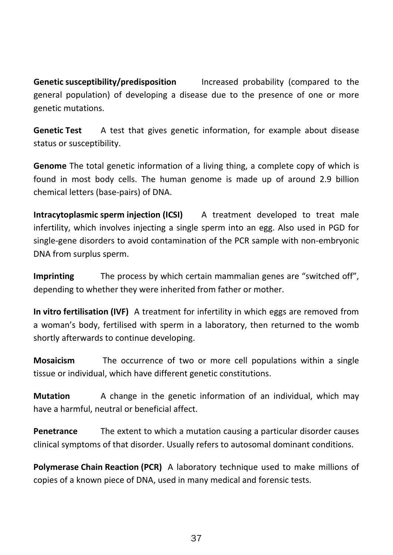**Genetic**Increased probability (compared to the general population) of developing <sup>a</sup> disease due to the presence of one or more genetic mutations.

**Genetic Test** AA test that gives genetic information, for example about disease status or susceptibility.

**Genome** The total genetic information of <sup>a</sup> living thing, <sup>a</sup> complete copy of which is found in most body cells. The human genome is made up of around 2.9 billion chemical letters (base‐pairs) of DNA.

**Intracytoplasmic sperm injection (ICSI)** A treatment developed to treat male infertility, which involves injecting <sup>a</sup> single sperm into an egg. Also used in PGD for single-gene disorders to avoid contamination of the PCR sample with non-embryonic DNA from surplus sperm.

**Imprinting** The process by which certain mammalian genes are "switched off", depending to whether they were inherited from father or mother.

**In vitro fertilisation (IVF)** A treatment for infertility in which eggs are removed from a woman's body, fertilised with sperm in <sup>a</sup> laboratory, then returned to the womb shortly afterwards to continue developing.

**Mosaicism** The occurrence of two or more cell populations within <sup>a</sup> single tissue or individual, which have different genetic constitutions.

**Mutationn** A change in the genetic information of an individual, which may have <sup>a</sup> harmful, neutral or beneficial affect.

**Penetrancee** The extent to which a mutation causing a particular disorder causes clinical symptoms of that disorder. Usually refers to autosomal dominant conditions.

**Polymerase Chain Reaction (PCR)** A laboratory technique used to make millions of copies of <sup>a</sup> known piece of DNA, used in many medical and forensic tests.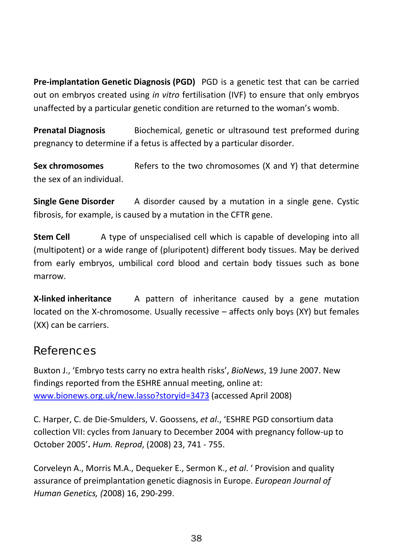<span id="page-38-0"></span>**Pre‐implantation Genetic Diagnosis (PGD)** PGD is <sup>a</sup> genetic test that can be carried out on embryos created using *in vitro* fertilisation (IVF) to ensure that only embryos unaffected by <sup>a</sup> particular genetic condition are returned to the woman's womb.

**Prenatal Diagnosis** Biochemical, genetic or ultrasound test preformed during pregnancy to determine if <sup>a</sup> fetus is affected by <sup>a</sup> particular disorder.

**Sex chromosomes** Refers toRefers to the two chromosomes (X and Y) that determine the sex of an individual.

**Single Gene Disorder** A disorder caused by <sup>a</sup> mutation in <sup>a</sup> single gene. Cystic fibrosis, for example, is caused by <sup>a</sup> mutation in the CFTR gene.

**Stem Cell** A type of unspecialised cell which is capable of developing into all (multipotent) or <sup>a</sup> wide range of (pluripotent) different body tissues. May be derived from early embryos, umbilical cord blood and certain body tissues such as bone marrow.

**X‐linked inheritance** A pattern of inheritance caused by <sup>a</sup> gene mutation located on the X‐chromosome. Usually recessive – affects only boys (XY) but females (XX) can be carriers.

#### *References*

Buxton J., 'Embryo tests carry no extra health risks', *BioNews*, 19 June 2007. New findings reported from the ESHRE annual meeting, online at: [www.bionews.org.uk/new.lasso?storyid=3473](http://www.bionews.org.uk/new.lasso?storyid=3473) (accessed April 2008)

C. Harper, C. de Die‐Smulders, V. Goossens, *et al*., 'ESHRE PGD consortium data collection VII: cycles from January to December 2004 with pregnancy follow‐up to October 2005'**.** *Hum. Reprod*, (2008) 23, 741 ‐ 755.

Corveleyn A., Morris M.A., Dequeker E., Sermon K., *et al*. ' Provision and quality assurance of preimplantation genetic diagnosis in Europe. *European Journal of Human Genetics, (*2008) 16, 290‐299.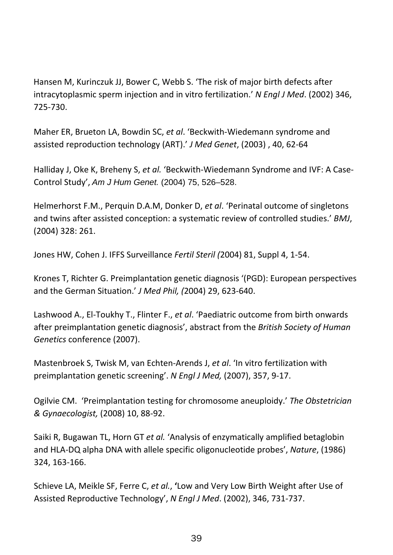Hansen M, Kurinczuk JJ, Bower C, Webb S. 'The risk of major birth defects after intracytoplasmic sperm injection and in vitro fertilization.' *N Engl J Med*. (2002) 346, 725‐730.

Maher ER, Brueton LA, Bowdin SC, *et al*. 'Beckwith‐Wiedemann syndrome and assisted reproduction technology (ART).' *J Med Genet*, (2003) , 40, 62‐64

Halliday J, Oke K, Breheny S, *et al.* 'Beckwith‐Wiedemann Syndrome and IVF: A Case‐ Control Study', *Am J Hum Genet.* (2004) 75, 526–528.

Helmerhorst F.M., Perquin D.A.M, Donker D, *et al*. 'Perinatal outcome of singletons and twins after assisted conception: <sup>a</sup> systematic review of controlled studies.' *BMJ*, (2004) 328: 261.

Jones HW, Cohen J. IFFS Surveillance *Fertil Steril (*2004) 81, Suppl 4, 1‐54.

Krones T, Richter G. Preimplantation genetic diagnosis '(PGD): European perspectives and the German Situation.' *J Med Phil, (*2004) 29, 623‐640.

Lashwood A., El‐Toukhy T., Flinter F., *et al*. 'Paediatric outcome from birth onwards after preimplantation genetic diagnosis', abstract from the *British Society of Human Genetics* conference (2007).

Mastenbroek S, Twisk M, van Echten‐Arends J, *et al*. 'In vitro fertilization with preimplantation genetic screening'. *N Engl J Med,* (2007), 357, 9‐17.

Ogilvie CM. 'Preimplantation testing for chromosome aneuploidy.' *The Obstetrician & Gynaecologist,* (2008) 10, 88‐92.

Saiki R, Bugawan TL, Horn GT *et al.* 'Analysis of enzymatically amplified betaglobin and HLA‐DQ alpha DNA with allele specific oligonucleotide probes', *Nature*, (1986) 324, 163‐166.

Schieve LA, Meikle SF, Ferre C, *et al.*, **'**Low and Very Low Birth Weight after Use of Assisted Reproductive Technology', *N Engl J Med*. (2002), 346, 731‐737.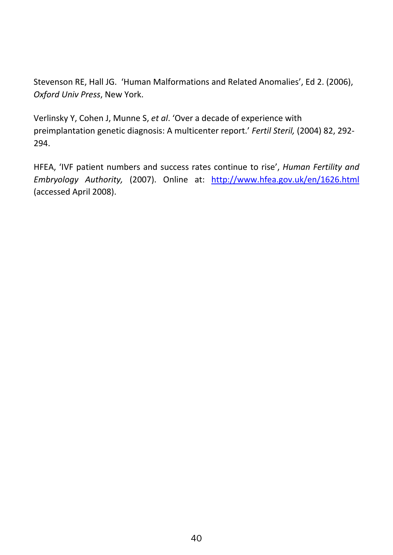Stevenson RE, Hall JG. 'Human Malformations and Related Anomalies', Ed 2. (2006), *Oxford Univ Press*, New York.

Verlinsky Y, Cohen J, Munne S, *et al*. 'Over <sup>a</sup> decade of experience with preimplantation genetic diagnosis: A multicenter report.' *Fertil Steril,* (2004) 82, 292‐ 294.

HFEA, 'IVF patient numbers and success rates continue to rise', *Human Fertility and Embryology Authority,* (2007). Online at: <http://www.hfea.gov.uk/en/1626.html> (accessed April 2008).